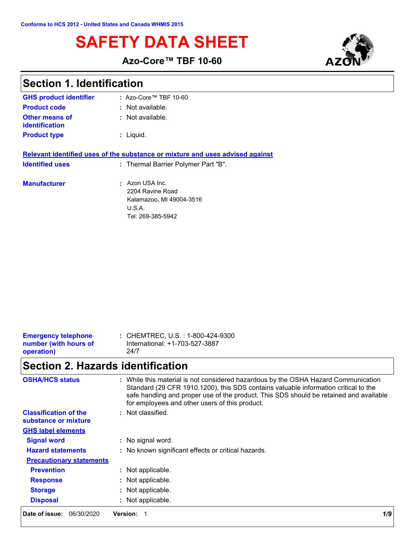# **SAFETY DATA SHEET**



**Azo-Core™ TBF 10-60**

| <b>Section 1. Identification</b> |  |
|----------------------------------|--|
|----------------------------------|--|

| <b>GHS product identifier</b>    | $:$ Azo-Core™ TBF 10-60                                                                      |
|----------------------------------|----------------------------------------------------------------------------------------------|
| <b>Product code</b>              | : Not available.                                                                             |
| Other means of<br>identification | $:$ Not available.                                                                           |
| <b>Product type</b>              | $:$ Liquid.                                                                                  |
|                                  | Relevant identified uses of the substance or mixture and uses advised against                |
| <b>Identified uses</b>           | : Thermal Barrier Polymer Part "B".                                                          |
| <b>Manufacturer</b>              | Azon USA Inc.<br>2204 Ravine Road<br>Kalamazoo, MI 49004-3516<br>U.S.A.<br>Tel: 269-385-5942 |

| <b>Emergency telephone</b> | : CHEMTREC, U.S. : 1-800-424-9300 |
|----------------------------|-----------------------------------|
| number (with hours of      | International: +1-703-527-3887    |
| operation)                 | 24/7                              |
|                            |                                   |

# **Section 2. Hazards identification**

| <b>OSHA/HCS status</b>                               | : While this material is not considered hazardous by the OSHA Hazard Communication<br>Standard (29 CFR 1910.1200), this SDS contains valuable information critical to the<br>safe handling and proper use of the product. This SDS should be retained and available<br>for employees and other users of this product. |  |
|------------------------------------------------------|-----------------------------------------------------------------------------------------------------------------------------------------------------------------------------------------------------------------------------------------------------------------------------------------------------------------------|--|
| <b>Classification of the</b><br>substance or mixture | : Not classified.                                                                                                                                                                                                                                                                                                     |  |
| <b>GHS label elements</b>                            |                                                                                                                                                                                                                                                                                                                       |  |
| <b>Signal word</b>                                   | : No signal word.                                                                                                                                                                                                                                                                                                     |  |
| <b>Hazard statements</b>                             | : No known significant effects or critical hazards.                                                                                                                                                                                                                                                                   |  |
| <b>Precautionary statements</b>                      |                                                                                                                                                                                                                                                                                                                       |  |
| <b>Prevention</b>                                    | : Not applicable.                                                                                                                                                                                                                                                                                                     |  |
| <b>Response</b>                                      | : Not applicable.                                                                                                                                                                                                                                                                                                     |  |
| <b>Storage</b>                                       | : Not applicable.                                                                                                                                                                                                                                                                                                     |  |
| <b>Disposal</b>                                      | : Not applicable.                                                                                                                                                                                                                                                                                                     |  |
| Date of issue:<br>06/30/2020                         | <b>Version:</b><br>1/9                                                                                                                                                                                                                                                                                                |  |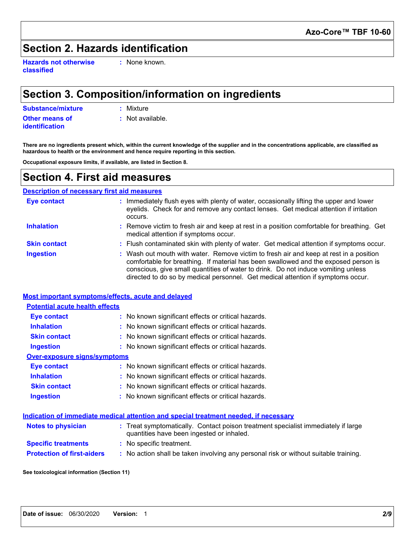## **Section 2. Hazards identification**

**Hazards not otherwise classified**

**:** None known.

## **Section 3. Composition/information on ingredients**

**Substance/mixture :** Mixture

**Other means of identification**

**:** Not available.

**There are no ingredients present which, within the current knowledge of the supplier and in the concentrations applicable, are classified as hazardous to health or the environment and hence require reporting in this section.**

**Occupational exposure limits, if available, are listed in Section 8.**

### **Section 4. First aid measures**

#### **Description of necessary first aid measures**

| <b>Eye contact</b>  | Immediately flush eyes with plenty of water, occasionally lifting the upper and lower<br>eyelids. Check for and remove any contact lenses. Get medical attention if irritation<br>occurs.                                                                                                                                                              |
|---------------------|--------------------------------------------------------------------------------------------------------------------------------------------------------------------------------------------------------------------------------------------------------------------------------------------------------------------------------------------------------|
| <b>Inhalation</b>   | : Remove victim to fresh air and keep at rest in a position comfortable for breathing. Get<br>medical attention if symptoms occur.                                                                                                                                                                                                                     |
| <b>Skin contact</b> | : Flush contaminated skin with plenty of water. Get medical attention if symptoms occur.                                                                                                                                                                                                                                                               |
| <b>Ingestion</b>    | : Wash out mouth with water. Remove victim to fresh air and keep at rest in a position<br>comfortable for breathing. If material has been swallowed and the exposed person is<br>conscious, give small quantities of water to drink. Do not induce vomiting unless<br>directed to do so by medical personnel. Get medical attention if symptoms occur. |

|                                       | Most important symptoms/effects, acute and delayed                                                                             |
|---------------------------------------|--------------------------------------------------------------------------------------------------------------------------------|
| <b>Potential acute health effects</b> |                                                                                                                                |
| Eye contact                           | : No known significant effects or critical hazards.                                                                            |
| <b>Inhalation</b>                     | : No known significant effects or critical hazards.                                                                            |
| <b>Skin contact</b>                   | : No known significant effects or critical hazards.                                                                            |
| <b>Ingestion</b>                      | : No known significant effects or critical hazards.                                                                            |
| <b>Over-exposure signs/symptoms</b>   |                                                                                                                                |
| <b>Eye contact</b>                    | : No known significant effects or critical hazards.                                                                            |
| <b>Inhalation</b>                     | : No known significant effects or critical hazards.                                                                            |
| <b>Skin contact</b>                   | : No known significant effects or critical hazards.                                                                            |
| <b>Ingestion</b>                      | : No known significant effects or critical hazards.                                                                            |
|                                       | Indication of immediate medical attention and special treatment needed, if necessary                                           |
| <b>Notes to physician</b>             | : Treat symptomatically. Contact poison treatment specialist immediately if large<br>quantities have been ingested or inhaled. |
| <b>Specific treatments</b>            | : No specific treatment.                                                                                                       |

**Protection of first-aiders :** No action shall be taken involving any personal risk or without suitable training.

**See toxicological information (Section 11)**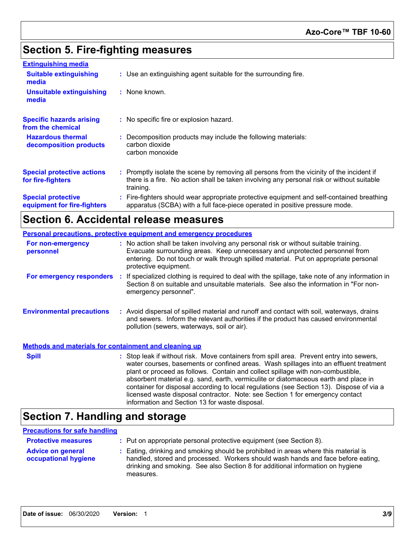## **Section 5. Fire-fighting measures**

| <b>Extinguishing media</b>                               |                                                                                                                                                                                                     |
|----------------------------------------------------------|-----------------------------------------------------------------------------------------------------------------------------------------------------------------------------------------------------|
| <b>Suitable extinguishing</b><br>media                   | : Use an extinguishing agent suitable for the surrounding fire.                                                                                                                                     |
| <b>Unsuitable extinguishing</b><br>media                 | : None known.                                                                                                                                                                                       |
| <b>Specific hazards arising</b><br>from the chemical     | : No specific fire or explosion hazard.                                                                                                                                                             |
| <b>Hazardous thermal</b><br>decomposition products       | : Decomposition products may include the following materials:<br>carbon dioxide<br>carbon monoxide                                                                                                  |
| <b>Special protective actions</b><br>for fire-fighters   | : Promptly isolate the scene by removing all persons from the vicinity of the incident if<br>there is a fire. No action shall be taken involving any personal risk or without suitable<br>training. |
| <b>Special protective</b><br>equipment for fire-fighters | : Fire-fighters should wear appropriate protective equipment and self-contained breathing<br>apparatus (SCBA) with a full face-piece operated in positive pressure mode.                            |

## **Section 6. Accidental release measures**

| <b>Personal precautions, protective equipment and emergency procedures</b> |                                                                                                                                                                                                                                                                                                                                                                                                                                                                                                                                                                                            |  |
|----------------------------------------------------------------------------|--------------------------------------------------------------------------------------------------------------------------------------------------------------------------------------------------------------------------------------------------------------------------------------------------------------------------------------------------------------------------------------------------------------------------------------------------------------------------------------------------------------------------------------------------------------------------------------------|--|
| For non-emergency<br>personnel                                             | : No action shall be taken involving any personal risk or without suitable training.<br>Evacuate surrounding areas. Keep unnecessary and unprotected personnel from<br>entering. Do not touch or walk through spilled material. Put on appropriate personal<br>protective equipment.                                                                                                                                                                                                                                                                                                       |  |
| For emergency responders :                                                 | If specialized clothing is required to deal with the spillage, take note of any information in<br>Section 8 on suitable and unsuitable materials. See also the information in "For non-<br>emergency personnel".                                                                                                                                                                                                                                                                                                                                                                           |  |
| <b>Environmental precautions</b>                                           | : Avoid dispersal of spilled material and runoff and contact with soil, waterways, drains<br>and sewers. Inform the relevant authorities if the product has caused environmental<br>pollution (sewers, waterways, soil or air).                                                                                                                                                                                                                                                                                                                                                            |  |
| <b>Methods and materials for containment and cleaning up</b>               |                                                                                                                                                                                                                                                                                                                                                                                                                                                                                                                                                                                            |  |
| <b>Spill</b>                                                               | : Stop leak if without risk. Move containers from spill area. Prevent entry into sewers,<br>water courses, basements or confined areas. Wash spillages into an effluent treatment<br>plant or proceed as follows. Contain and collect spillage with non-combustible,<br>absorbent material e.g. sand, earth, vermiculite or diatomaceous earth and place in<br>container for disposal according to local regulations (see Section 13). Dispose of via a<br>licensed waste disposal contractor. Note: see Section 1 for emergency contact<br>information and Section 13 for waste disposal. |  |

## **Section 7. Handling and storage**

#### **Precautions for safe handling**

| <b>Protective measures</b>                       | : Put on appropriate personal protective equipment (see Section 8).                                                                                                                                                                                                    |
|--------------------------------------------------|------------------------------------------------------------------------------------------------------------------------------------------------------------------------------------------------------------------------------------------------------------------------|
| <b>Advice on general</b><br>occupational hygiene | : Eating, drinking and smoking should be prohibited in areas where this material is<br>handled, stored and processed. Workers should wash hands and face before eating,<br>drinking and smoking. See also Section 8 for additional information on hygiene<br>measures. |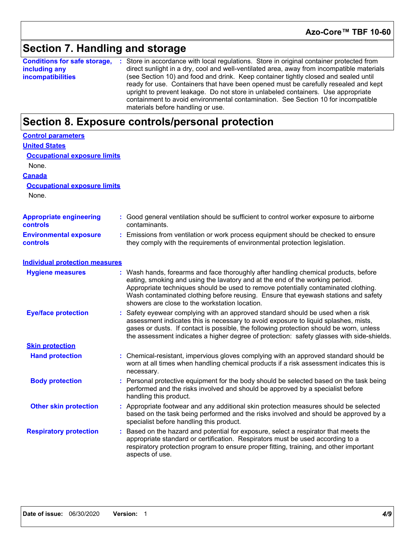## **Section 7. Handling and storage**

**Conditions for safe storage,** : Store in accordance with local regulations. Store in original container protected from **including any incompatibilities** direct sunlight in a dry, cool and well-ventilated area, away from incompatible materials (see Section 10) and food and drink. Keep container tightly closed and sealed until ready for use. Containers that have been opened must be carefully resealed and kept upright to prevent leakage. Do not store in unlabeled containers. Use appropriate containment to avoid environmental contamination. See Section 10 for incompatible materials before handling or use.

### **Section 8. Exposure controls/personal protection**

| <b>Control parameters</b>                         |    |                                                                                                                                                                                                                                                                                                                                                                                                   |
|---------------------------------------------------|----|---------------------------------------------------------------------------------------------------------------------------------------------------------------------------------------------------------------------------------------------------------------------------------------------------------------------------------------------------------------------------------------------------|
| <b>United States</b>                              |    |                                                                                                                                                                                                                                                                                                                                                                                                   |
| <b>Occupational exposure limits</b>               |    |                                                                                                                                                                                                                                                                                                                                                                                                   |
| None.                                             |    |                                                                                                                                                                                                                                                                                                                                                                                                   |
| <b>Canada</b>                                     |    |                                                                                                                                                                                                                                                                                                                                                                                                   |
| <b>Occupational exposure limits</b>               |    |                                                                                                                                                                                                                                                                                                                                                                                                   |
| None.                                             |    |                                                                                                                                                                                                                                                                                                                                                                                                   |
| <b>Appropriate engineering</b><br><b>controls</b> |    | : Good general ventilation should be sufficient to control worker exposure to airborne<br>contaminants.                                                                                                                                                                                                                                                                                           |
| <b>Environmental exposure</b><br><b>controls</b>  |    | Emissions from ventilation or work process equipment should be checked to ensure<br>they comply with the requirements of environmental protection legislation.                                                                                                                                                                                                                                    |
| <b>Individual protection measures</b>             |    |                                                                                                                                                                                                                                                                                                                                                                                                   |
| <b>Hygiene measures</b>                           |    | : Wash hands, forearms and face thoroughly after handling chemical products, before<br>eating, smoking and using the lavatory and at the end of the working period.<br>Appropriate techniques should be used to remove potentially contaminated clothing.<br>Wash contaminated clothing before reusing. Ensure that eyewash stations and safety<br>showers are close to the workstation location. |
| <b>Eye/face protection</b>                        |    | Safety eyewear complying with an approved standard should be used when a risk<br>assessment indicates this is necessary to avoid exposure to liquid splashes, mists,<br>gases or dusts. If contact is possible, the following protection should be worn, unless<br>the assessment indicates a higher degree of protection: safety glasses with side-shields.                                      |
| <b>Skin protection</b>                            |    |                                                                                                                                                                                                                                                                                                                                                                                                   |
| <b>Hand protection</b>                            |    | : Chemical-resistant, impervious gloves complying with an approved standard should be<br>worn at all times when handling chemical products if a risk assessment indicates this is<br>necessary.                                                                                                                                                                                                   |
| <b>Body protection</b>                            | ÷. | Personal protective equipment for the body should be selected based on the task being<br>performed and the risks involved and should be approved by a specialist before<br>handling this product.                                                                                                                                                                                                 |
| <b>Other skin protection</b>                      |    | : Appropriate footwear and any additional skin protection measures should be selected<br>based on the task being performed and the risks involved and should be approved by a<br>specialist before handling this product.                                                                                                                                                                         |
| <b>Respiratory protection</b>                     |    | Based on the hazard and potential for exposure, select a respirator that meets the<br>appropriate standard or certification. Respirators must be used according to a<br>respiratory protection program to ensure proper fitting, training, and other important<br>aspects of use.                                                                                                                 |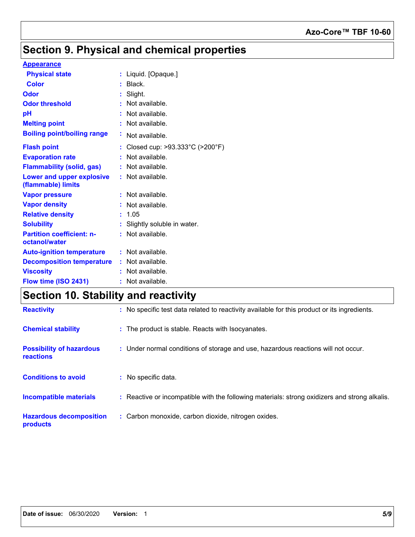### **Azo-Core™ TBF 10-60**

## **Section 9. Physical and chemical properties**

#### **Appearance**

| <b>Physical state</b>                                  |    | : Liquid. [Opaque.]                                 |
|--------------------------------------------------------|----|-----------------------------------------------------|
| <b>Color</b>                                           |    | Black.                                              |
| Odor                                                   |    | Slight.                                             |
| <b>Odor threshold</b>                                  |    | Not available.                                      |
| рH                                                     |    | Not available.                                      |
| <b>Melting point</b>                                   |    | Not available.                                      |
| <b>Boiling point/boiling range</b>                     | ÷. | Not available.                                      |
| <b>Flash point</b>                                     |    | Closed cup: $>93.333^{\circ}$ C ( $>200^{\circ}$ F) |
| <b>Evaporation rate</b>                                |    | Not available.                                      |
| <b>Flammability (solid, gas)</b>                       |    | Not available.                                      |
| <b>Lower and upper explosive</b><br>(flammable) limits |    | : Not available.                                    |
| <b>Vapor pressure</b>                                  |    | Not available.                                      |
| <b>Vapor density</b>                                   |    | Not available.                                      |
| <b>Relative density</b>                                |    | 1.05                                                |
| <b>Solubility</b>                                      |    | : Slightly soluble in water.                        |
| <b>Partition coefficient: n-</b><br>octanol/water      |    | $:$ Not available.                                  |
| <b>Auto-ignition temperature</b>                       |    | $:$ Not available.                                  |
| <b>Decomposition temperature</b>                       |    | $:$ Not available.                                  |
| <b>Viscosity</b>                                       |    | Not available.                                      |
| Flow time (ISO 2431)                                   |    | Not available.                                      |

## **Section 10. Stability and reactivity**

| <b>Reactivity</b>                                   | No specific test data related to reactivity available for this product or its ingredients.    |
|-----------------------------------------------------|-----------------------------------------------------------------------------------------------|
| <b>Chemical stability</b>                           | : The product is stable. Reacts with Isocyanates.                                             |
| <b>Possibility of hazardous</b><br><b>reactions</b> | : Under normal conditions of storage and use, hazardous reactions will not occur.             |
| <b>Conditions to avoid</b>                          | : No specific data.                                                                           |
| <b>Incompatible materials</b>                       | : Reactive or incompatible with the following materials: strong oxidizers and strong alkalis. |
| <b>Hazardous decomposition</b><br>products          | : Carbon monoxide, carbon dioxide, nitrogen oxides.                                           |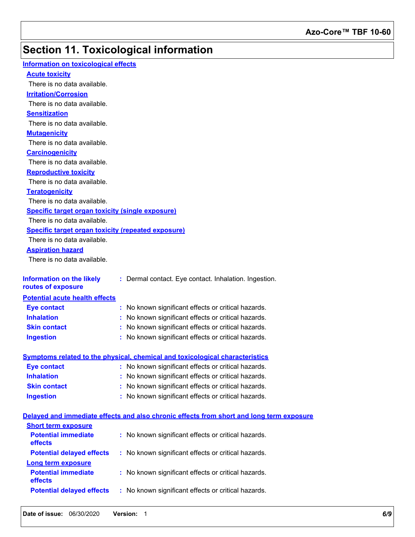# **Section 11. Toxicological information**

| Information on toxicological effects                      |                                                                                          |
|-----------------------------------------------------------|------------------------------------------------------------------------------------------|
| <b>Acute toxicity</b>                                     |                                                                                          |
| There is no data available.                               |                                                                                          |
| <b>Irritation/Corrosion</b>                               |                                                                                          |
| There is no data available.                               |                                                                                          |
| <b>Sensitization</b>                                      |                                                                                          |
| There is no data available.                               |                                                                                          |
| <b>Mutagenicity</b>                                       |                                                                                          |
| There is no data available.                               |                                                                                          |
| <b>Carcinogenicity</b>                                    |                                                                                          |
| There is no data available.                               |                                                                                          |
| <b>Reproductive toxicity</b>                              |                                                                                          |
| There is no data available.                               |                                                                                          |
| <b>Teratogenicity</b>                                     |                                                                                          |
| There is no data available.                               |                                                                                          |
| <b>Specific target organ toxicity (single exposure)</b>   |                                                                                          |
| There is no data available.                               |                                                                                          |
| <b>Specific target organ toxicity (repeated exposure)</b> |                                                                                          |
| There is no data available.                               |                                                                                          |
| <b>Aspiration hazard</b>                                  |                                                                                          |
| There is no data available.                               |                                                                                          |
|                                                           |                                                                                          |
| <b>Information on the likely</b><br>routes of exposure    | : Dermal contact. Eye contact. Inhalation. Ingestion.                                    |
| <b>Potential acute health effects</b>                     |                                                                                          |
| <b>Eye contact</b>                                        | : No known significant effects or critical hazards.                                      |
| <b>Inhalation</b>                                         | No known significant effects or critical hazards.                                        |
| <b>Skin contact</b>                                       | : No known significant effects or critical hazards.                                      |
| <b>Ingestion</b>                                          | : No known significant effects or critical hazards.                                      |
|                                                           |                                                                                          |
|                                                           | Symptoms related to the physical, chemical and toxicological characteristics             |
| <b>Eye contact</b>                                        | : No known significant effects or critical hazards.                                      |
| <b>Inhalation</b>                                         | No known significant effects or critical hazards.                                        |
| <b>Skin contact</b>                                       | No known significant effects or critical hazards.                                        |
| <b>Ingestion</b>                                          | : No known significant effects or critical hazards.                                      |
|                                                           | Delayed and immediate effects and also chronic effects from short and long term exposure |
| <b>Short term exposure</b>                                |                                                                                          |
| <b>Potential immediate</b>                                | : No known significant effects or critical hazards.                                      |
| effects                                                   |                                                                                          |
| <b>Potential delayed effects</b>                          | : No known significant effects or critical hazards.                                      |
| <b>Long term exposure</b>                                 |                                                                                          |
| <b>Potential immediate</b>                                | : No known significant effects or critical hazards.                                      |
| effects                                                   |                                                                                          |
| <b>Potential delayed effects</b>                          | : No known significant effects or critical hazards.                                      |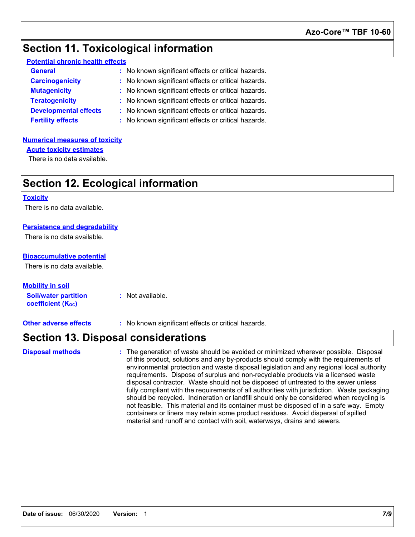### **Section 11. Toxicological information**

| <b>Potential chronic health effects</b> |
|-----------------------------------------|
|-----------------------------------------|

| <b>General</b>               | : No known significant effects or critical hazards. |
|------------------------------|-----------------------------------------------------|
| <b>Carcinogenicity</b>       | : No known significant effects or critical hazards. |
| <b>Mutagenicity</b>          | : No known significant effects or critical hazards. |
| <b>Teratogenicity</b>        | : No known significant effects or critical hazards. |
| <b>Developmental effects</b> | : No known significant effects or critical hazards. |
| <b>Fertility effects</b>     | : No known significant effects or critical hazards. |

#### **Numerical measures of toxicity**

**Acute toxicity estimates**

There is no data available.

## **Section 12. Ecological information**

#### **Toxicity**

There is no data available.

#### **Persistence and degradability**

There is no data available.

#### **Bioaccumulative potential**

There is no data available.

**Soil/water partition coefficient (KOC) :** Not available. **Mobility in soil**

**Other adverse effects** : No known significant effects or critical hazards.

### **Section 13. Disposal considerations**

The generation of waste should be avoided or minimized wherever possible. Disposal of this product, solutions and any by-products should comply with the requirements of environmental protection and waste disposal legislation and any regional local authority requirements. Dispose of surplus and non-recyclable products via a licensed waste disposal contractor. Waste should not be disposed of untreated to the sewer unless fully compliant with the requirements of all authorities with jurisdiction. Waste packaging should be recycled. Incineration or landfill should only be considered when recycling is not feasible. This material and its container must be disposed of in a safe way. Empty containers or liners may retain some product residues. Avoid dispersal of spilled material and runoff and contact with soil, waterways, drains and sewers. **Disposal methods :**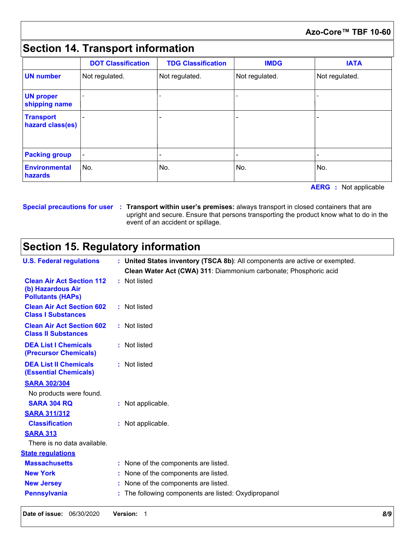### **Azo-Core™ TBF 10-60**

## **Section 14. Transport information**

|                                      | <b>DOT Classification</b> | <b>TDG Classification</b> | <b>IMDG</b>    | <b>IATA</b>    |
|--------------------------------------|---------------------------|---------------------------|----------------|----------------|
| <b>UN</b> number                     | Not regulated.            | Not regulated.            | Not regulated. | Not regulated. |
| <b>UN proper</b><br>shipping name    |                           |                           |                |                |
| <b>Transport</b><br>hazard class(es) |                           |                           |                |                |
| <b>Packing group</b>                 |                           |                           |                |                |
| <b>Environmental</b><br>hazards      | No.                       | No.                       | No.            | No.            |

**AERG :** Not applicable

#### **Special precautions for user Transport within user's premises:** always transport in closed containers that are **:** upright and secure. Ensure that persons transporting the product know what to do in the event of an accident or spillage.

## **Section 15. Regulatory information**

|                                                                                   | upright and secure. Ensure that persons transporting the product know what to do in the<br>event of an accident or spillage. |  |  |  |
|-----------------------------------------------------------------------------------|------------------------------------------------------------------------------------------------------------------------------|--|--|--|
| <b>Section 15. Regulatory information</b>                                         |                                                                                                                              |  |  |  |
| <b>U.S. Federal regulations</b>                                                   | : United States inventory (TSCA 8b): All components are active or exempted.                                                  |  |  |  |
|                                                                                   | Clean Water Act (CWA) 311: Diammonium carbonate; Phosphoric acid                                                             |  |  |  |
| <b>Clean Air Act Section 112</b><br>(b) Hazardous Air<br><b>Pollutants (HAPs)</b> | : Not listed                                                                                                                 |  |  |  |
| <b>Clean Air Act Section 602</b><br><b>Class I Substances</b>                     | : Not listed                                                                                                                 |  |  |  |
| <b>Clean Air Act Section 602</b><br><b>Class II Substances</b>                    | : Not listed                                                                                                                 |  |  |  |
| <b>DEA List I Chemicals</b><br>(Precursor Chemicals)                              | : Not listed                                                                                                                 |  |  |  |
| <b>DEA List II Chemicals</b><br><b>(Essential Chemicals)</b>                      | : Not listed                                                                                                                 |  |  |  |
| <b>SARA 302/304</b>                                                               |                                                                                                                              |  |  |  |
| No products were found.                                                           |                                                                                                                              |  |  |  |
| <b>SARA 304 RQ</b>                                                                | : Not applicable.                                                                                                            |  |  |  |
| <b>SARA 311/312</b>                                                               |                                                                                                                              |  |  |  |
| <b>Classification</b>                                                             | : Not applicable.                                                                                                            |  |  |  |
| <b>SARA 313</b>                                                                   |                                                                                                                              |  |  |  |
| There is no data available.                                                       |                                                                                                                              |  |  |  |
| <b>State regulations</b>                                                          |                                                                                                                              |  |  |  |
| <b>Massachusetts</b>                                                              | : None of the components are listed.                                                                                         |  |  |  |
| <b>New York</b>                                                                   | : None of the components are listed.                                                                                         |  |  |  |
| <b>New Jersey</b>                                                                 | None of the components are listed.                                                                                           |  |  |  |
| <b>Pennsylvania</b>                                                               | : The following components are listed: Oxydipropanol                                                                         |  |  |  |